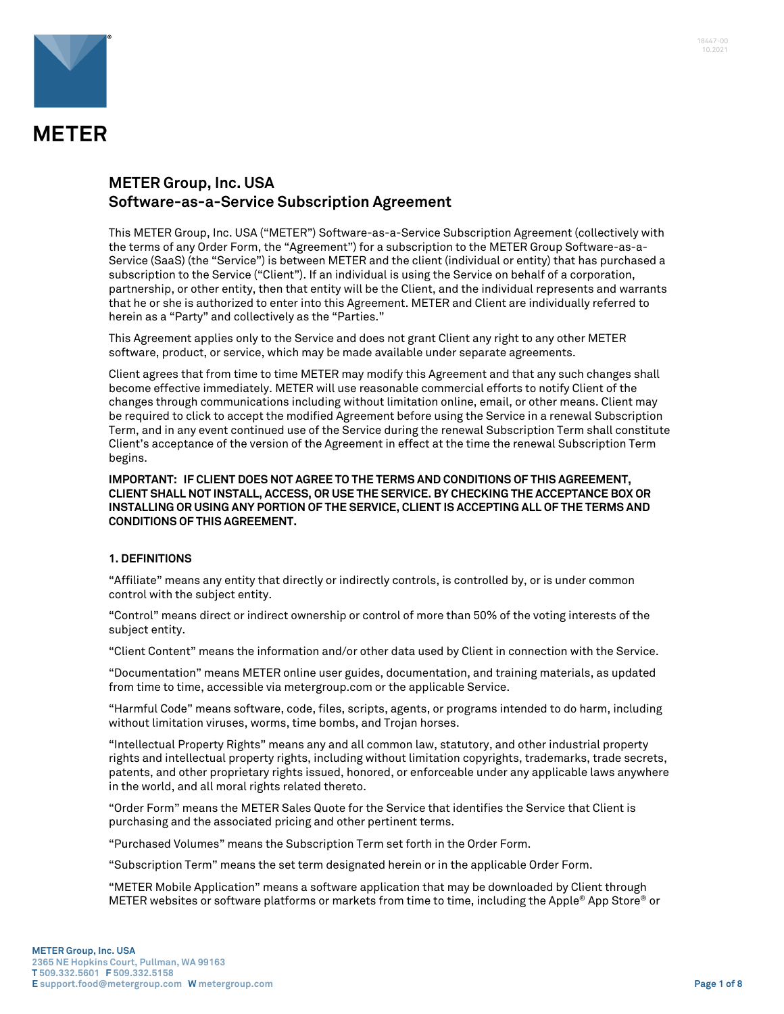

# **METER Group, Inc. USA Software-as-a-Service Subscription Agreement**

This METER Group, Inc. USA ("METER") Software-as-a-Service Subscription Agreement (collectively with the terms of any Order Form, the "Agreement") for a subscription to the METER Group Software-as-a-Service (SaaS) (the "Service") is between METER and the client (individual or entity) that has purchased a subscription to the Service ("Client"). If an individual is using the Service on behalf of a corporation, partnership, or other entity, then that entity will be the Client, and the individual represents and warrants that he or she is authorized to enter into this Agreement. METER and Client are individually referred to herein as a "Party" and collectively as the "Parties."

This Agreement applies only to the Service and does not grant Client any right to any other METER software, product, or service, which may be made available under separate agreements.

Client agrees that from time to time METER may modify this Agreement and that any such changes shall become effective immediately. METER will use reasonable commercial efforts to notify Client of the changes through communications including without limitation online, email, or other means. Client may be required to click to accept the modified Agreement before using the Service in a renewal Subscription Term, and in any event continued use of the Service during the renewal Subscription Term shall constitute Client's acceptance of the version of the Agreement in effect at the time the renewal Subscription Term begins.

**IMPORTANT: IF CLIENT DOES NOT AGREE TO THE TERMS AND CONDITIONS OF THIS AGREEMENT, CLIENT SHALL NOT INSTALL, ACCESS, OR USE THE SERVICE. BY CHECKING THE ACCEPTANCE BOX OR INSTALLING OR USING ANY PORTION OF THE SERVICE, CLIENT IS ACCEPTING ALL OF THE TERMS AND CONDITIONS OF THIS AGREEMENT.**

#### **1. DEFINITIONS**

"Affiliate" means any entity that directly or indirectly controls, is controlled by, or is under common control with the subject entity.

"Control" means direct or indirect ownership or control of more than 50% of the voting interests of the subject entity.

"Client Content" means the information and/or other data used by Client in connection with the Service.

"Documentation" means METER online user guides, documentation, and training materials, as updated from time to time, accessible via metergroup.com or the applicable Service.

"Harmful Code" means software, code, files, scripts, agents, or programs intended to do harm, including without limitation viruses, worms, time bombs, and Trojan horses.

"Intellectual Property Rights" means any and all common law, statutory, and other industrial property rights and intellectual property rights, including without limitation copyrights, trademarks, trade secrets, patents, and other proprietary rights issued, honored, or enforceable under any applicable laws anywhere in the world, and all moral rights related thereto.

"Order Form" means the METER Sales Quote for the Service that identifies the Service that Client is purchasing and the associated pricing and other pertinent terms.

"Purchased Volumes" means the Subscription Term set forth in the Order Form.

"Subscription Term" means the set term designated herein or in the applicable Order Form.

"METER Mobile Application" means a software application that may be downloaded by Client through METER websites or software platforms or markets from time to time, including the Apple® App Store® or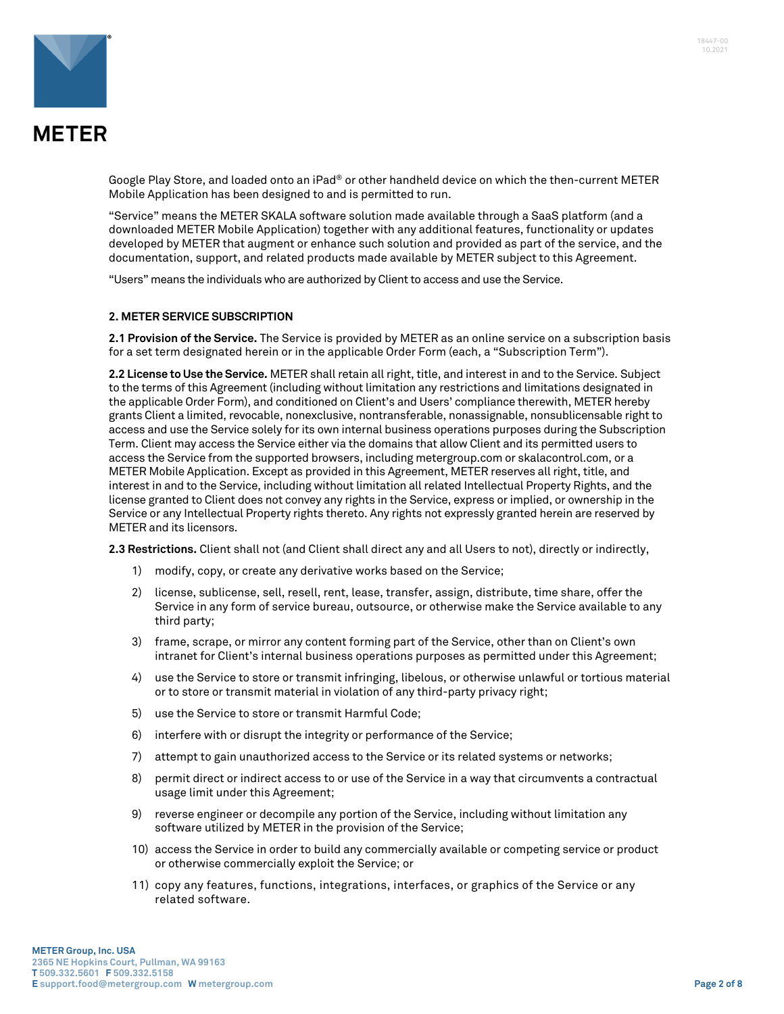



Google Play Store, and loaded onto an iPad® or other handheld device on which the then-current METER Mobile Application has been designed to and is permitted to run.

"Service" means the METER SKALA software solution made available through a SaaS platform (and a downloaded METER Mobile Application) together with any additional features, functionality or updates developed by METER that augment or enhance such solution and provided as part of the service, and the documentation, support, and related products made available by METER subject to this Agreement.

"Users" means the individuals who are authorized by Client to access and use the Service.

#### **2. METER SERVICE SUBSCRIPTION**

**2.1 Provision of the Service.** The Service is provided by METER as an online service on a subscription basis for a set term designated herein or in the applicable Order Form (each, a "Subscription Term").

**2.2 License to Use the Service.** METER shall retain all right, title, and interest in and to the Service. Subject to the terms of this Agreement (including without limitation any restrictions and limitations designated in the applicable Order Form), and conditioned on Client's and Users' compliance therewith, METER hereby grants Client a limited, revocable, nonexclusive, nontransferable, nonassignable, nonsublicensable right to access and use the Service solely for its own internal business operations purposes during the Subscription Term. Client may access the Service either via the domains that allow Client and its permitted users to access the Service from the supported browsers, including metergroup.com or skalacontrol.com, or a METER Mobile Application. Except as provided in this Agreement, METER reserves all right, title, and interest in and to the Service, including without limitation all related Intellectual Property Rights, and the license granted to Client does not convey any rights in the Service, express or implied, or ownership in the Service or any Intellectual Property rights thereto. Any rights not expressly granted herein are reserved by METER and its licensors.

**2.3 Restrictions.** Client shall not (and Client shall direct any and all Users to not), directly or indirectly,

- 1) modify, copy, or create any derivative works based on the Service;
- 2) license, sublicense, sell, resell, rent, lease, transfer, assign, distribute, time share, offer the Service in any form of service bureau, outsource, or otherwise make the Service available to any third party;
- 3) frame, scrape, or mirror any content forming part of the Service, other than on Client's own intranet for Client's internal business operations purposes as permitted under this Agreement;
- 4) use the Service to store or transmit infringing, libelous, or otherwise unlawful or tortious material or to store or transmit material in violation of any third-party privacy right;
- 5) use the Service to store or transmit Harmful Code;
- 6) interfere with or disrupt the integrity or performance of the Service;
- 7) attempt to gain unauthorized access to the Service or its related systems or networks;
- 8) permit direct or indirect access to or use of the Service in a way that circumvents a contractual usage limit under this Agreement;
- 9) reverse engineer or decompile any portion of the Service, including without limitation any software utilized by METER in the provision of the Service;
- 10) access the Service in order to build any commercially available or competing service or product or otherwise commercially exploit the Service; or
- 11) copy any features, functions, integrations, interfaces, or graphics of the Service or any related software.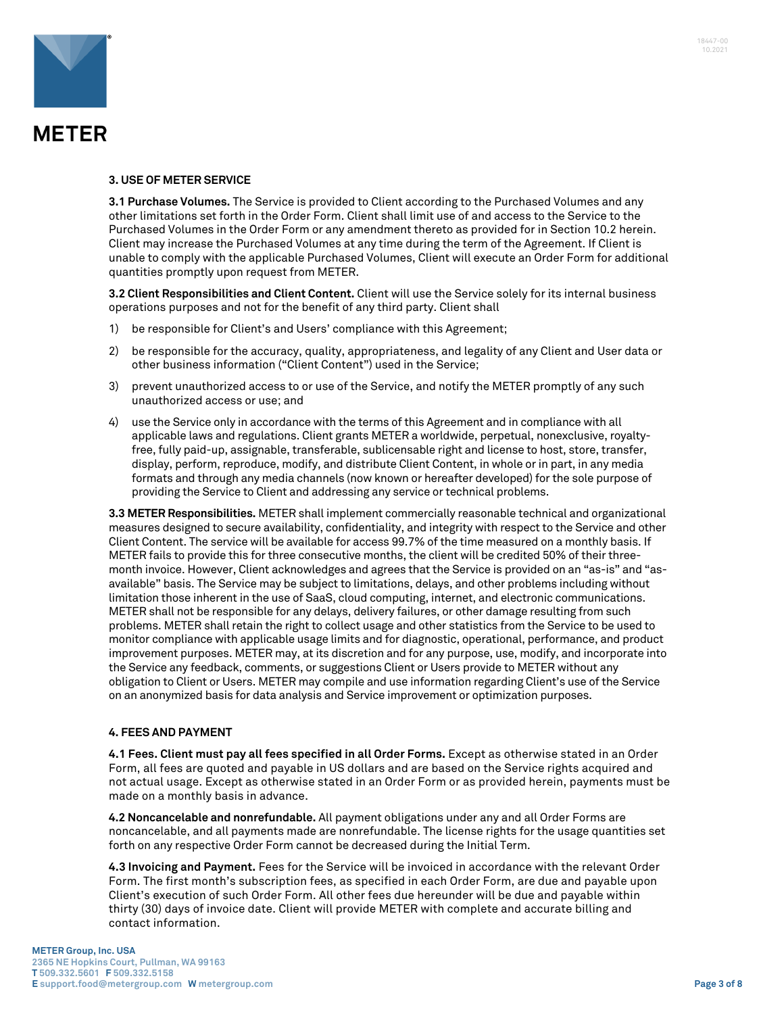

#### **3. USE OF METER SERVICE**

**3.1 Purchase Volumes.** The Service is provided to Client according to the Purchased Volumes and any other limitations set forth in the Order Form. Client shall limit use of and access to the Service to the Purchased Volumes in the Order Form or any amendment thereto as provided for in Section 10.2 herein. Client may increase the Purchased Volumes at any time during the term of the Agreement. If Client is unable to comply with the applicable Purchased Volumes, Client will execute an Order Form for additional quantities promptly upon request from METER.

**3.2 Client Responsibilities and Client Content.** Client will use the Service solely for its internal business operations purposes and not for the benefit of any third party. Client shall

- 1) be responsible for Client's and Users' compliance with this Agreement;
- 2) be responsible for the accuracy, quality, appropriateness, and legality of any Client and User data or other business information ("Client Content") used in the Service;
- 3) prevent unauthorized access to or use of the Service, and notify the METER promptly of any such unauthorized access or use; and
- 4) use the Service only in accordance with the terms of this Agreement and in compliance with all applicable laws and regulations. Client grants METER a worldwide, perpetual, nonexclusive, royaltyfree, fully paid-up, assignable, transferable, sublicensable right and license to host, store, transfer, display, perform, reproduce, modify, and distribute Client Content, in whole or in part, in any media formats and through any media channels (now known or hereafter developed) for the sole purpose of providing the Service to Client and addressing any service or technical problems.

**3.3 METER Responsibilities.** METER shall implement commercially reasonable technical and organizational measures designed to secure availability, confidentiality, and integrity with respect to the Service and other Client Content. The service will be available for access 99.7% of the time measured on a monthly basis. If METER fails to provide this for three consecutive months, the client will be credited 50% of their threemonth invoice. However, Client acknowledges and agrees that the Service is provided on an "as-is" and "asavailable" basis. The Service may be subject to limitations, delays, and other problems including without limitation those inherent in the use of SaaS, cloud computing, internet, and electronic communications. METER shall not be responsible for any delays, delivery failures, or other damage resulting from such problems. METER shall retain the right to collect usage and other statistics from the Service to be used to monitor compliance with applicable usage limits and for diagnostic, operational, performance, and product improvement purposes. METER may, at its discretion and for any purpose, use, modify, and incorporate into the Service any feedback, comments, or suggestions Client or Users provide to METER without any obligation to Client or Users. METER may compile and use information regarding Client's use of the Service on an anonymized basis for data analysis and Service improvement or optimization purposes.

#### **4. FEES AND PAYMENT**

**4.1 Fees. Client must pay all fees specified in all Order Forms.** Except as otherwise stated in an Order Form, all fees are quoted and payable in US dollars and are based on the Service rights acquired and not actual usage. Except as otherwise stated in an Order Form or as provided herein, payments must be made on a monthly basis in advance.

**4.2 Noncancelable and nonrefundable.** All payment obligations under any and all Order Forms are noncancelable, and all payments made are nonrefundable. The license rights for the usage quantities set forth on any respective Order Form cannot be decreased during the Initial Term.

**4.3 Invoicing and Payment.** Fees for the Service will be invoiced in accordance with the relevant Order Form. The first month's subscription fees, as specified in each Order Form, are due and payable upon Client's execution of such Order Form. All other fees due hereunder will be due and payable within thirty (30) days of invoice date. Client will provide METER with complete and accurate billing and contact information.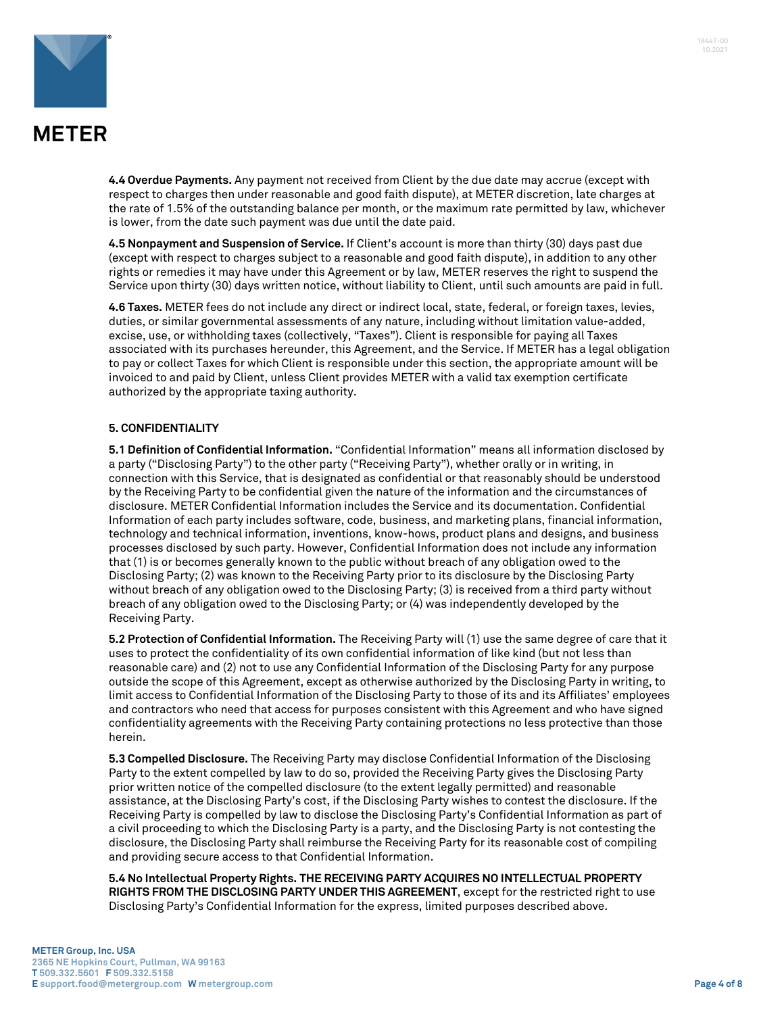



**4.4 Overdue Payments.** Any payment not received from Client by the due date may accrue (except with respect to charges then under reasonable and good faith dispute), at METER discretion, late charges at the rate of 1.5% of the outstanding balance per month, or the maximum rate permitted by law, whichever is lower, from the date such payment was due until the date paid.

**4.5 Nonpayment and Suspension of Service.** If Client's account is more than thirty (30) days past due (except with respect to charges subject to a reasonable and good faith dispute), in addition to any other rights or remedies it may have under this Agreement or by law, METER reserves the right to suspend the Service upon thirty (30) days written notice, without liability to Client, until such amounts are paid in full.

**4.6 Taxes.** METER fees do not include any direct or indirect local, state, federal, or foreign taxes, levies, duties, or similar governmental assessments of any nature, including without limitation value-added, excise, use, or withholding taxes (collectively, "Taxes"). Client is responsible for paying all Taxes associated with its purchases hereunder, this Agreement, and the Service. If METER has a legal obligation to pay or collect Taxes for which Client is responsible under this section, the appropriate amount will be invoiced to and paid by Client, unless Client provides METER with a valid tax exemption certificate authorized by the appropriate taxing authority.

#### **5. CONFIDENTIALITY**

**5.1 Definition of Confidential Information.** "Confidential Information" means all information disclosed by a party ("Disclosing Party") to the other party ("Receiving Party"), whether orally or in writing, in connection with this Service, that is designated as confidential or that reasonably should be understood by the Receiving Party to be confidential given the nature of the information and the circumstances of disclosure. METER Confidential Information includes the Service and its documentation. Confidential Information of each party includes software, code, business, and marketing plans, financial information, technology and technical information, inventions, know-hows, product plans and designs, and business processes disclosed by such party. However, Confidential Information does not include any information that (1) is or becomes generally known to the public without breach of any obligation owed to the Disclosing Party; (2) was known to the Receiving Party prior to its disclosure by the Disclosing Party without breach of any obligation owed to the Disclosing Party; (3) is received from a third party without breach of any obligation owed to the Disclosing Party; or (4) was independently developed by the Receiving Party.

**5.2 Protection of Confidential Information.** The Receiving Party will (1) use the same degree of care that it uses to protect the confidentiality of its own confidential information of like kind (but not less than reasonable care) and (2) not to use any Confidential Information of the Disclosing Party for any purpose outside the scope of this Agreement, except as otherwise authorized by the Disclosing Party in writing, to limit access to Confidential Information of the Disclosing Party to those of its and its Affiliates' employees and contractors who need that access for purposes consistent with this Agreement and who have signed confidentiality agreements with the Receiving Party containing protections no less protective than those herein.

**5.3 Compelled Disclosure.** The Receiving Party may disclose Confidential Information of the Disclosing Party to the extent compelled by law to do so, provided the Receiving Party gives the Disclosing Party prior written notice of the compelled disclosure (to the extent legally permitted) and reasonable assistance, at the Disclosing Party's cost, if the Disclosing Party wishes to contest the disclosure. If the Receiving Party is compelled by law to disclose the Disclosing Party's Confidential Information as part of a civil proceeding to which the Disclosing Party is a party, and the Disclosing Party is not contesting the disclosure, the Disclosing Party shall reimburse the Receiving Party for its reasonable cost of compiling and providing secure access to that Confidential Information.

**5.4 No Intellectual Property Rights. THE RECEIVING PARTY ACQUIRES NO INTELLECTUAL PROPERTY RIGHTS FROM THE DISCLOSING PARTY UNDER THIS AGREEMENT**, except for the restricted right to use Disclosing Party's Confidential Information for the express, limited purposes described above.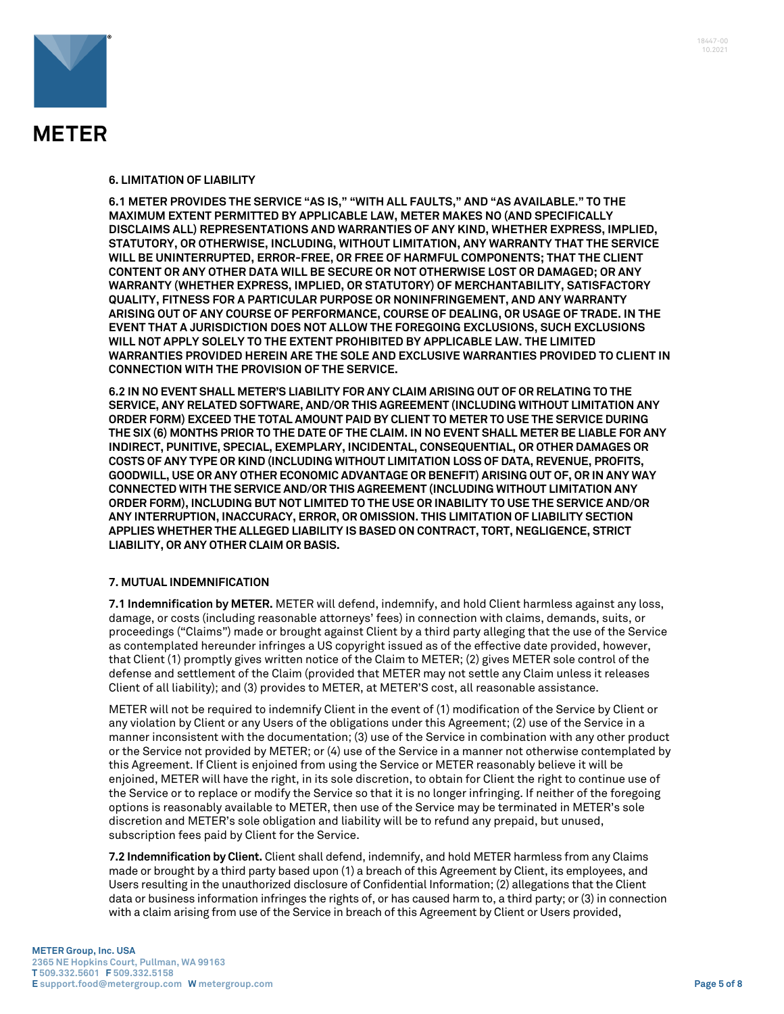

#### **6. LIMITATION OF LIABILITY**

**6.1 METER PROVIDES THE SERVICE "AS IS," "WITH ALL FAULTS," AND "AS AVAILABLE." TO THE MAXIMUM EXTENT PERMITTED BY APPLICABLE LAW, METER MAKES NO (AND SPECIFICALLY DISCLAIMS ALL) REPRESENTATIONS AND WARRANTIES OF ANY KIND, WHETHER EXPRESS, IMPLIED, STATUTORY, OR OTHERWISE, INCLUDING, WITHOUT LIMITATION, ANY WARRANTY THAT THE SERVICE WILL BE UNINTERRUPTED, ERROR-FREE, OR FREE OF HARMFUL COMPONENTS; THAT THE CLIENT CONTENT OR ANY OTHER DATA WILL BE SECURE OR NOT OTHERWISE LOST OR DAMAGED; OR ANY WARRANTY (WHETHER EXPRESS, IMPLIED, OR STATUTORY) OF MERCHANTABILITY, SATISFACTORY QUALITY, FITNESS FOR A PARTICULAR PURPOSE OR NONINFRINGEMENT, AND ANY WARRANTY ARISING OUT OF ANY COURSE OF PERFORMANCE, COURSE OF DEALING, OR USAGE OF TRADE. IN THE EVENT THAT A JURISDICTION DOES NOT ALLOW THE FOREGOING EXCLUSIONS, SUCH EXCLUSIONS WILL NOT APPLY SOLELY TO THE EXTENT PROHIBITED BY APPLICABLE LAW. THE LIMITED WARRANTIES PROVIDED HEREIN ARE THE SOLE AND EXCLUSIVE WARRANTIES PROVIDED TO CLIENT IN CONNECTION WITH THE PROVISION OF THE SERVICE.** 

**6.2 IN NO EVENT SHALL METER'S LIABILITY FOR ANY CLAIM ARISING OUT OF OR RELATING TO THE SERVICE, ANY RELATED SOFTWARE, AND/OR THIS AGREEMENT (INCLUDING WITHOUT LIMITATION ANY ORDER FORM) EXCEED THE TOTAL AMOUNT PAID BY CLIENT TO METER TO USE THE SERVICE DURING THE SIX (6) MONTHS PRIOR TO THE DATE OF THE CLAIM. IN NO EVENT SHALL METER BE LIABLE FOR ANY INDIRECT, PUNITIVE, SPECIAL, EXEMPLARY, INCIDENTAL, CONSEQUENTIAL, OR OTHER DAMAGES OR COSTS OF ANY TYPE OR KIND (INCLUDING WITHOUT LIMITATION LOSS OF DATA, REVENUE, PROFITS, GOODWILL, USE OR ANY OTHER ECONOMIC ADVANTAGE OR BENEFIT) ARISING OUT OF, OR IN ANY WAY CONNECTED WITH THE SERVICE AND/OR THIS AGREEMENT (INCLUDING WITHOUT LIMITATION ANY ORDER FORM), INCLUDING BUT NOT LIMITED TO THE USE OR INABILITY TO USE THE SERVICE AND/OR ANY INTERRUPTION, INACCURACY, ERROR, OR OMISSION. THIS LIMITATION OF LIABILITY SECTION APPLIES WHETHER THE ALLEGED LIABILITY IS BASED ON CONTRACT, TORT, NEGLIGENCE, STRICT LIABILITY, OR ANY OTHER CLAIM OR BASIS.** 

#### **7. MUTUAL INDEMNIFICATION**

**7.1 Indemnification by METER.** METER will defend, indemnify, and hold Client harmless against any loss, damage, or costs (including reasonable attorneys' fees) in connection with claims, demands, suits, or proceedings ("Claims") made or brought against Client by a third party alleging that the use of the Service as contemplated hereunder infringes a US copyright issued as of the effective date provided, however, that Client (1) promptly gives written notice of the Claim to METER; (2) gives METER sole control of the defense and settlement of the Claim (provided that METER may not settle any Claim unless it releases Client of all liability); and (3) provides to METER, at METER'S cost, all reasonable assistance.

METER will not be required to indemnify Client in the event of (1) modification of the Service by Client or any violation by Client or any Users of the obligations under this Agreement; (2) use of the Service in a manner inconsistent with the documentation; (3) use of the Service in combination with any other product or the Service not provided by METER; or (4) use of the Service in a manner not otherwise contemplated by this Agreement. If Client is enjoined from using the Service or METER reasonably believe it will be enjoined, METER will have the right, in its sole discretion, to obtain for Client the right to continue use of the Service or to replace or modify the Service so that it is no longer infringing. If neither of the foregoing options is reasonably available to METER, then use of the Service may be terminated in METER's sole discretion and METER's sole obligation and liability will be to refund any prepaid, but unused, subscription fees paid by Client for the Service.

**7.2 Indemnification by Client.** Client shall defend, indemnify, and hold METER harmless from any Claims made or brought by a third party based upon (1) a breach of this Agreement by Client, its employees, and Users resulting in the unauthorized disclosure of Confidential Information; (2) allegations that the Client data or business information infringes the rights of, or has caused harm to, a third party; or (3) in connection with a claim arising from use of the Service in breach of this Agreement by Client or Users provided,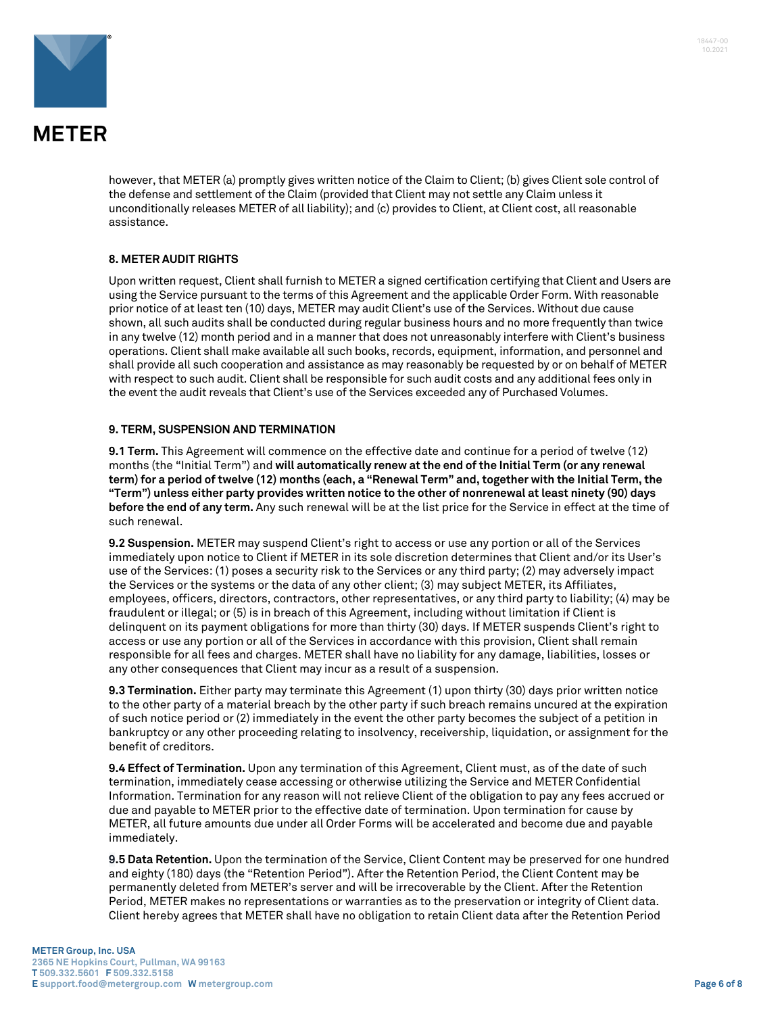

however, that METER (a) promptly gives written notice of the Claim to Client; (b) gives Client sole control of the defense and settlement of the Claim (provided that Client may not settle any Claim unless it unconditionally releases METER of all liability); and (c) provides to Client, at Client cost, all reasonable assistance.

### **8. METER AUDIT RIGHTS**

Upon written request, Client shall furnish to METER a signed certification certifying that Client and Users are using the Service pursuant to the terms of this Agreement and the applicable Order Form. With reasonable prior notice of at least ten (10) days, METER may audit Client's use of the Services. Without due cause shown, all such audits shall be conducted during regular business hours and no more frequently than twice in any twelve (12) month period and in a manner that does not unreasonably interfere with Client's business operations. Client shall make available all such books, records, equipment, information, and personnel and shall provide all such cooperation and assistance as may reasonably be requested by or on behalf of METER with respect to such audit. Client shall be responsible for such audit costs and any additional fees only in the event the audit reveals that Client's use of the Services exceeded any of Purchased Volumes.

#### **9. TERM, SUSPENSION AND TERMINATION**

**9.1 Term.** This Agreement will commence on the effective date and continue for a period of twelve (12) months (the "Initial Term") and **will automatically renew at the end of the Initial Term (or any renewal term) for a period of twelve (12) months (each, a "Renewal Term" and, together with the Initial Term, the "Term") unless either party provides written notice to the other of nonrenewal at least ninety (90) days before the end of any term.** Any such renewal will be at the list price for the Service in effect at the time of such renewal.

**9.2 Suspension.** METER may suspend Client's right to access or use any portion or all of the Services immediately upon notice to Client if METER in its sole discretion determines that Client and/or its User's use of the Services: (1) poses a security risk to the Services or any third party; (2) may adversely impact the Services or the systems or the data of any other client; (3) may subject METER, its Affiliates, employees, officers, directors, contractors, other representatives, or any third party to liability; (4) may be fraudulent or illegal; or (5) is in breach of this Agreement, including without limitation if Client is delinquent on its payment obligations for more than thirty (30) days. If METER suspends Client's right to access or use any portion or all of the Services in accordance with this provision, Client shall remain responsible for all fees and charges. METER shall have no liability for any damage, liabilities, losses or any other consequences that Client may incur as a result of a suspension.

**9.3 Termination.** Either party may terminate this Agreement (1) upon thirty (30) days prior written notice to the other party of a material breach by the other party if such breach remains uncured at the expiration of such notice period or (2) immediately in the event the other party becomes the subject of a petition in bankruptcy or any other proceeding relating to insolvency, receivership, liquidation, or assignment for the benefit of creditors.

**9.4 Effect of Termination.** Upon any termination of this Agreement, Client must, as of the date of such termination, immediately cease accessing or otherwise utilizing the Service and METER Confidential Information. Termination for any reason will not relieve Client of the obligation to pay any fees accrued or due and payable to METER prior to the effective date of termination. Upon termination for cause by METER, all future amounts due under all Order Forms will be accelerated and become due and payable immediately.

**9.5 Data Retention.** Upon the termination of the Service, Client Content may be preserved for one hundred and eighty (180) days (the "Retention Period"). After the Retention Period, the Client Content may be permanently deleted from METER's server and will be irrecoverable by the Client. After the Retention Period, METER makes no representations or warranties as to the preservation or integrity of Client data. Client hereby agrees that METER shall have no obligation to retain Client data after the Retention Period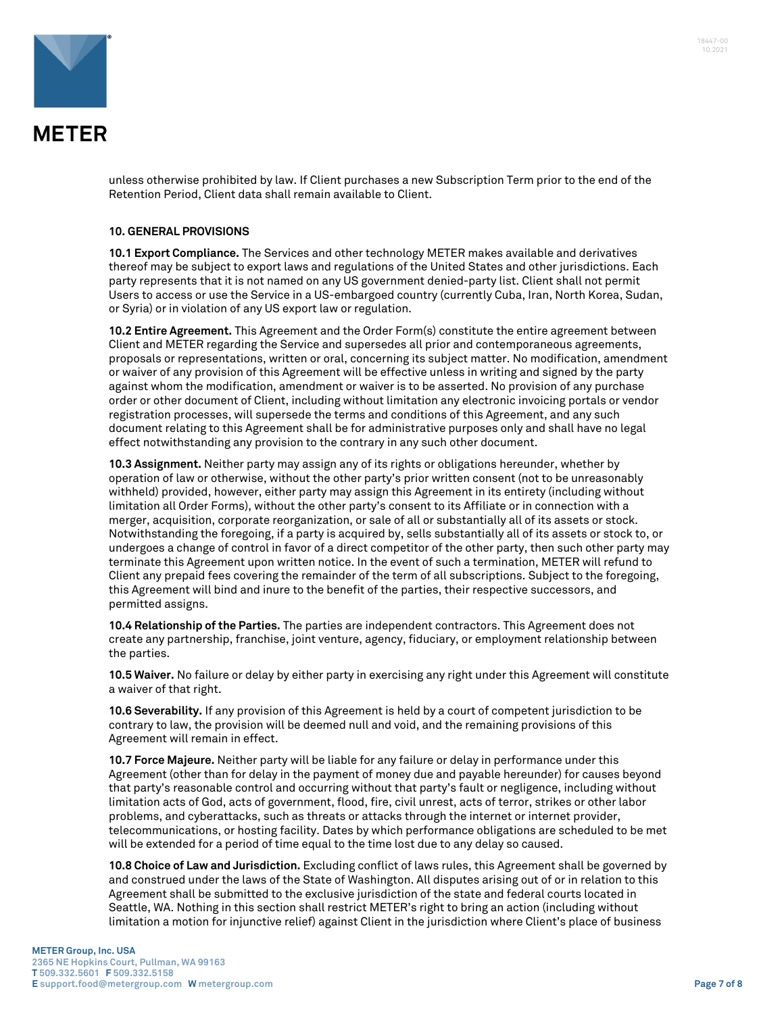

unless otherwise prohibited by law. If Client purchases a new Subscription Term prior to the end of the Retention Period, Client data shall remain available to Client.

#### **10. GENERAL PROVISIONS**

**10.1 Export Compliance.** The Services and other technology METER makes available and derivatives thereof may be subject to export laws and regulations of the United States and other jurisdictions. Each party represents that it is not named on any US government denied-party list. Client shall not permit Users to access or use the Service in a US-embargoed country (currently Cuba, Iran, North Korea, Sudan, or Syria) or in violation of any US export law or regulation.

**10.2 Entire Agreement.** This Agreement and the Order Form(s) constitute the entire agreement between Client and METER regarding the Service and supersedes all prior and contemporaneous agreements, proposals or representations, written or oral, concerning its subject matter. No modification, amendment or waiver of any provision of this Agreement will be effective unless in writing and signed by the party against whom the modification, amendment or waiver is to be asserted. No provision of any purchase order or other document of Client, including without limitation any electronic invoicing portals or vendor registration processes, will supersede the terms and conditions of this Agreement, and any such document relating to this Agreement shall be for administrative purposes only and shall have no legal effect notwithstanding any provision to the contrary in any such other document.

**10.3 Assignment.** Neither party may assign any of its rights or obligations hereunder, whether by operation of law or otherwise, without the other party's prior written consent (not to be unreasonably withheld) provided, however, either party may assign this Agreement in its entirety (including without limitation all Order Forms), without the other party's consent to its Affiliate or in connection with a merger, acquisition, corporate reorganization, or sale of all or substantially all of its assets or stock. Notwithstanding the foregoing, if a party is acquired by, sells substantially all of its assets or stock to, or undergoes a change of control in favor of a direct competitor of the other party, then such other party may terminate this Agreement upon written notice. In the event of such a termination, METER will refund to Client any prepaid fees covering the remainder of the term of all subscriptions. Subject to the foregoing, this Agreement will bind and inure to the benefit of the parties, their respective successors, and permitted assigns.

**10.4 Relationship of the Parties.** The parties are independent contractors. This Agreement does not create any partnership, franchise, joint venture, agency, fiduciary, or employment relationship between the parties.

**10.5 Waiver.** No failure or delay by either party in exercising any right under this Agreement will constitute a waiver of that right.

**10.6 Severability.** If any provision of this Agreement is held by a court of competent jurisdiction to be contrary to law, the provision will be deemed null and void, and the remaining provisions of this Agreement will remain in effect.

**10.7 Force Majeure.** Neither party will be liable for any failure or delay in performance under this Agreement (other than for delay in the payment of money due and payable hereunder) for causes beyond that party's reasonable control and occurring without that party's fault or negligence, including without limitation acts of God, acts of government, flood, fire, civil unrest, acts of terror, strikes or other labor problems, and cyberattacks, such as threats or attacks through the internet or internet provider, telecommunications, or hosting facility. Dates by which performance obligations are scheduled to be met will be extended for a period of time equal to the time lost due to any delay so caused.

**10.8 Choice of Law and Jurisdiction.** Excluding conflict of laws rules, this Agreement shall be governed by and construed under the laws of the State of Washington. All disputes arising out of or in relation to this Agreement shall be submitted to the exclusive jurisdiction of the state and federal courts located in Seattle, WA. Nothing in this section shall restrict METER's right to bring an action (including without limitation a motion for injunctive relief) against Client in the jurisdiction where Client's place of business